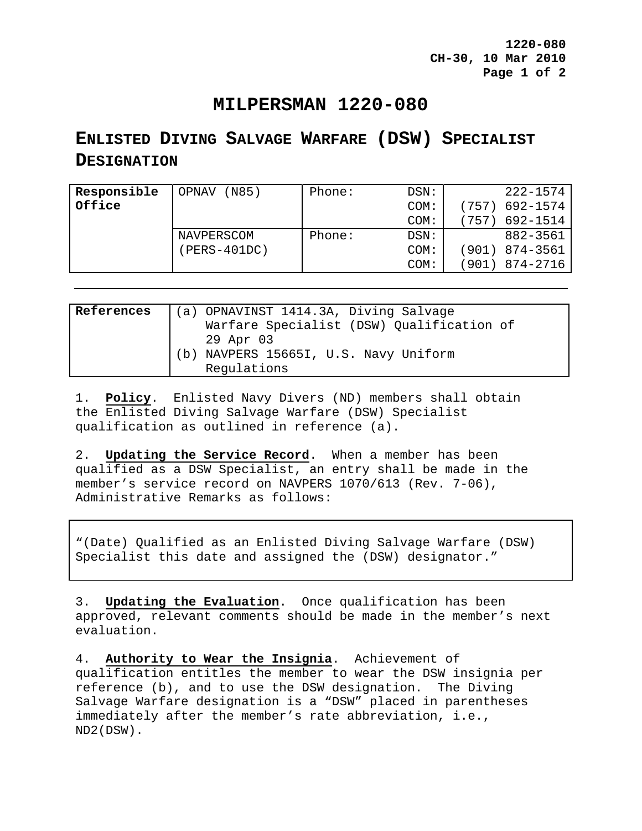**1220-080 CH-30, 10 Mar 2010 Page 1 of 2** 

## **MILPERSMAN 1220-080**

## **ENLISTED DIVING SALVAGE WARFARE (DSW) SPECIALIST DESIGNATION**

| Responsible | (M85)<br>OPNAV | Phone: | DSN:    | 222-1574          |
|-------------|----------------|--------|---------|-------------------|
| Office      |                |        | COM:    | 692-1574<br>(757) |
|             |                |        | COM:    | 692-1514<br>757   |
|             | NAVPERSCOM     | Phone: | $DSN$ : | 882-3561          |
|             | (PERS-401DC)   |        | COM:    | 874-3561<br>(901) |
|             |                |        | COM:    | 874-2716<br>901)  |
|             |                |        |         |                   |

| References |     | (a) OPNAVINST 1414.3A, Diving Salvage     |
|------------|-----|-------------------------------------------|
|            |     | Warfare Specialist (DSW) Qualification of |
|            |     | 29 Apr 03                                 |
|            | (b) | NAVPERS 15665I, U.S. Navy Uniform         |
|            |     | Regulations                               |

1. **Policy**. Enlisted Navy Divers (ND) members shall obtain the Enlisted Diving Salvage Warfare (DSW) Specialist qualification as outlined in reference (a).

2. **Updating the Service Record**. When a member has been qualified as a DSW Specialist, an entry shall be made in the member's service record on NAVPERS 1070/613 (Rev. 7-06), Administrative Remarks as follows:

"(Date) Qualified as an Enlisted Diving Salvage Warfare (DSW) Specialist this date and assigned the (DSW) designator."

3. **Updating the Evaluation**. Once qualification has been approved, relevant comments should be made in the member's next evaluation.

4. **Authority to Wear the Insignia**. Achievement of qualification entitles the member to wear the DSW insignia per reference (b), and to use the DSW designation. The Diving Salvage Warfare designation is a "DSW" placed in parentheses immediately after the member's rate abbreviation, i.e., ND2(DSW).